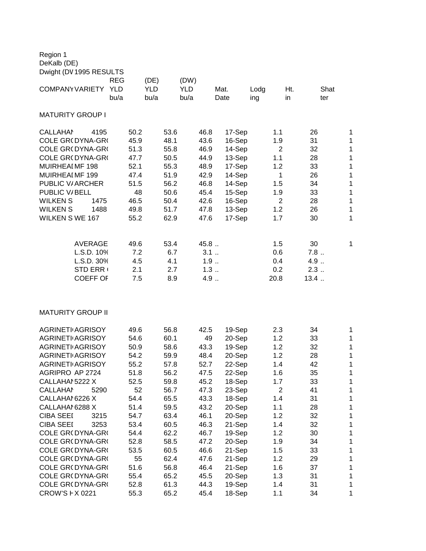Region 1 DeKalb (DE)

| Dwight (DV 1995 RESULTS  |                              |                    |             |                    |             |                    |             |              |             |                |             |                         |
|--------------------------|------------------------------|--------------------|-------------|--------------------|-------------|--------------------|-------------|--------------|-------------|----------------|-------------|-------------------------|
|                          |                              | REG                |             | (DE)               |             | (DW)               |             |              |             |                |             |                         |
| <b>COMPANY VARIETY</b>   |                              | <b>YLD</b><br>bu/a |             | <b>YLD</b><br>bu/a |             | <b>YLD</b><br>bu/a |             | Mat.<br>Date | Lodg<br>ing | Ht.<br>in      | Shat<br>ter |                         |
|                          |                              |                    |             |                    |             |                    |             |              |             |                |             |                         |
| <b>MATURITY GROUP I</b>  |                              |                    |             |                    |             |                    |             |              |             |                |             |                         |
| <b>CALLAHAN</b>          | 4195                         |                    | 50.2        |                    | 53.6        |                    | 46.8        | 17-Sep       |             | 1.1            | 26          | $\mathbf 1$             |
| <b>COLE GR(DYNA-GR(</b>  |                              |                    | 45.9        |                    | 48.1        |                    | 43.6        | 16-Sep       |             | 1.9            | 31          | 1                       |
| COLE GR(DYNA-GR(         |                              |                    | 51.3        |                    | 55.8        |                    | 46.9        | 14-Sep       |             | $\overline{2}$ | 32          | $\overline{\mathbf{1}}$ |
| COLE GR(DYNA-GR(         |                              |                    | 47.7        |                    | 50.5        |                    | 44.9        | 13-Sep       |             | 1.1            | 28          | 1                       |
| MUIRHEAIMF 198           |                              |                    | 52.1        |                    | 55.3        |                    | 48.9        | 17-Sep       |             | 1.2            | 33          | $\mathbf 1$             |
| MUIRHEAI MF 199          |                              |                    | 47.4        |                    | 51.9        |                    | 42.9        | 14-Sep       |             | $\mathbf{1}$   | 26          | 1                       |
| PUBLIC V/ARCHER          |                              |                    | 51.5        |                    | 56.2        |                    | 46.8        | 14-Sep       |             | 1.5            | 34          | 1                       |
| PUBLIC V/BELL            |                              |                    | 48          |                    | 50.6        |                    | 45.4        | 15-Sep       |             | 1.9            | 33          | $\overline{1}$          |
| <b>WILKEN S</b>          | 1475                         |                    | 46.5        |                    | 50.4        |                    | 42.6        | 16-Sep       |             | $\overline{2}$ | 28          | $\overline{1}$          |
| <b>WILKENS</b>           | 1488                         |                    | 49.8        |                    | 51.7        |                    | 47.8        | 13-Sep       |             | 1.2            | 26          | 1                       |
| <b>WILKEN S WE 167</b>   |                              |                    | 55.2        |                    | 62.9        |                    | 47.6        | 17-Sep       |             | 1.7            | 30          | 1                       |
|                          |                              |                    |             |                    |             |                    |             |              |             |                |             |                         |
|                          | <b>AVERAGE</b>               |                    | 49.6<br>7.2 |                    | 53.4<br>6.7 |                    | 45.8<br>3.1 |              |             | 1.5            | 30<br>7.8   | 1                       |
|                          | L.S.D. 10%                   |                    |             |                    |             |                    |             |              |             | 0.6            | $4.9$       |                         |
|                          | L.S.D. 30%                   |                    | 4.5<br>2.1  |                    | 4.1         |                    | 1.9<br>1.3  |              |             | 0.4<br>0.2     | $2.3$       |                         |
|                          | STD ERR (<br><b>COEFF OF</b> |                    | 7.5         |                    | 2.7<br>8.9  |                    | 4.9         |              |             | 20.8           | 13.4        |                         |
|                          |                              |                    |             |                    |             |                    |             |              |             |                |             |                         |
| <b>MATURITY GROUP II</b> |                              |                    |             |                    |             |                    |             |              |             |                |             |                         |
| <b>AGRINETI AGRISOY</b>  |                              |                    | 49.6        |                    | 56.8        |                    | 42.5        | 19-Sep       |             | 2.3            | 34          | $\mathbf 1$             |
| <b>AGRINETI AGRISOY</b>  |                              |                    | 54.6        |                    | 60.1        |                    | 49          | 20-Sep       |             | 1.2            | 33          | 1                       |
| <b>AGRINETI AGRISOY</b>  |                              |                    | 50.9        |                    | 58.6        |                    | 43.3        | 19-Sep       |             | 1.2            | 32          | $\overline{\mathbf{1}}$ |
| <b>AGRINETI AGRISOY</b>  |                              |                    | 54.2        |                    | 59.9        |                    | 48.4        | 20-Sep       |             | 1.2            | 28          | 1                       |
| <b>AGRINETI AGRISOY</b>  |                              |                    | 55.2        |                    | 57.8        |                    | 52.7        | 22-Sep       |             | 1.4            | 42          | $\mathbf 1$             |
| AGRIPRO AP 2724          |                              |                    | 51.8        |                    | 56.2        |                    | 47.5        | 22-Sep       |             | 1.6            | 35          | 1                       |
| CALLAHAI 5222 X          |                              |                    | 52.5        |                    | 59.8        |                    | 45.2        | 18-Sep       |             | 1.7            | 33          | 1                       |
| <b>CALLAHAM</b>          | 5290                         |                    | 52          |                    | 56.7        |                    | 47.3        | 23-Sep       |             | $\overline{2}$ | 41          | $\overline{1}$          |
| CALLAHAM6226 X           |                              |                    | 54.4        |                    | 65.5        |                    | 43.3        | 18-Sep       |             | 1.4            | 31          | $\mathbf 1$             |
| CALLAHAM6288 X           |                              |                    | 51.4        |                    | 59.5        |                    | 43.2        | 20-Sep       |             | 1.1            | 28          | 1                       |
| <b>CIBA SEEI</b>         | 3215                         |                    | 54.7        |                    | 63.4        |                    | 46.1        | 20-Sep       |             | 1.2            | 32          | 1                       |
| <b>CIBA SEEI</b>         | 3253                         |                    | 53.4        |                    | 60.5        |                    | 46.3        | 21-Sep       |             | 1.4            | 32          | 1                       |

COLE GR(DYNA-GR( 54.4 62.2 46.7 19-Sep 1.2 30 1 COLE GR(DYNA-GR( 52.8 58.5 47.2 20-Sep 1.9 34 1 COLE GR(DYNA-GR( 53.5 60.5 46.6 21-Sep 1.5 33 1 COLE GR(DYNA-GR( 55 62.4 47.6 21-Sep 1.2 29 1 COLE GR(DYNA-GR( 51.6 56.8 46.4 21-Sep 1.6 37 1 COLE GR(DYNA-GR( 55.4 65.2 45.5 20-Sep 1.3 31 1 COLE GR(DYNA-GR( 52.8 61.3 44.3 19-Sep 1.4 31 1 CROW'S F X 0221 55.3 65.2 45.4 18-Sep 1.1 34 1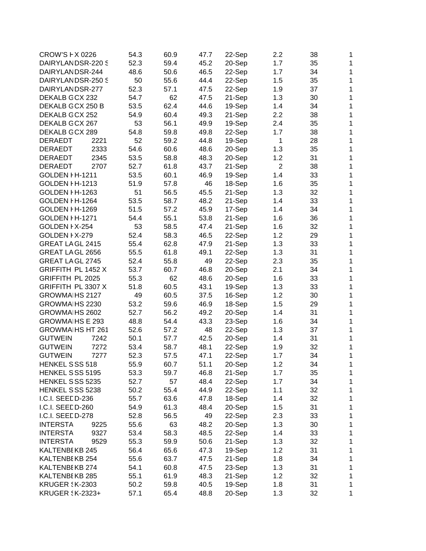| CROW'S F X 0226         |      | 54.3         | 60.9         | 47.7         | 22-Sep           | 2.2            | 38 | 1            |
|-------------------------|------|--------------|--------------|--------------|------------------|----------------|----|--------------|
| DAIRYLANDSR-220 S       |      | 52.3         | 59.4         | 45.2         | 20-Sep           | 1.7            | 35 | $\mathbf{1}$ |
| DAIRYLANDSR-244         |      | 48.6         | 50.6         | 46.5         | 22-Sep           | 1.7            | 34 | $\mathbf{1}$ |
| DAIRYLANDSR-250 S       |      | 50           | 55.6         | 44.4         | 22-Sep           | 1.5            | 35 | 1            |
| DAIRYLANDSR-277         |      | 52.3         | 57.1         | 47.5         | 22-Sep           | 1.9            | 37 | 1            |
| DEKALB GCX 232          |      | 54.7         | 62           | 47.5         | 21-Sep           | 1.3            | 30 | 1            |
| DEKALB GCX 250 B        |      | 53.5         | 62.4         | 44.6         | 19-Sep           | 1.4            | 34 | 1            |
| DEKALB GCX 252          |      | 54.9         | 60.4         | 49.3         | 21-Sep           | 2.2            | 38 | 1            |
| DEKALB GCX 267          |      | 53           | 56.1         | 49.9         | 19-Sep           | 2.4            | 35 | 1            |
| DEKALB GCX 289          |      | 54.8         | 59.8         | 49.8         | 22-Sep           | 1.7            | 38 | 1            |
| <b>DERAEDT</b>          | 2221 | 52           | 59.2         | 44.8         | 19-Sep           | 1              | 28 | 1            |
| DERAEDT                 | 2333 | 54.6         | 60.6         | 48.6         | 20-Sep           | 1.3            | 35 | 1            |
| <b>DERAEDT</b>          | 2345 | 53.5         | 58.8         | 48.3         | 20-Sep           | 1.2            | 31 | 1            |
| <b>DERAEDT</b>          | 2707 | 52.7         | 61.8         | 43.7         | 21-Sep           | $\overline{2}$ | 38 | 1            |
| GOLDEN I H-1211         |      | 53.5         | 60.1         | 46.9         | 19-Sep           | 1.4            | 33 | 1            |
| GOLDEN FH-1213          |      | 51.9         | 57.8         | 46           | 18-Sep           | 1.6            | 35 | 1            |
| GOLDEN FH-1263          |      | 51           | 56.5         | 45.5         | 21-Sep           | 1.3            | 32 | 1            |
| GOLDEN FH-1264          |      | 53.5         | 58.7         | 48.2         | 21-Sep           | 1.4            | 33 | $\mathbf{1}$ |
| GOLDEN  H-1269          |      | 51.5         | 57.2         | 45.9         | 17-Sep           | 1.4            | 34 | 1            |
| GOLDEN I H-1271         |      | 54.4         | 55.1         | 53.8         | 21-Sep           | 1.6            | 36 | 1            |
| GOLDEN I X-254          |      | 53           | 58.5         | 47.4         | 21-Sep           | 1.6            | 32 | 1            |
| GOLDEN I X-279          |      | 52.4         | 58.3         | 46.5         | 22-Sep           | 1.2            | 29 | 1            |
| GREAT LA GL 2415        |      | 55.4         | 62.8         | 47.9         | 21-Sep           | 1.3            | 33 | 1            |
| GREAT LA GL 2656        |      | 55.5         | 61.8         | 49.1         | 22-Sep           | 1.3            | 31 | 1            |
| GREAT LA GL 2745        |      | 52.4         | 55.8         | 49           | 22-Sep           | 2.3            | 35 | 1            |
| GRIFFITH PL 1452 X      |      | 53.7         | 60.7         | 46.8         | 20-Sep           | 2.1            | 34 | 1            |
| GRIFFITH PL 2025        |      | 55.3         | 62           | 48.6         | 20-Sep           | 1.6            | 33 | 1            |
| GRIFFITH PL 3307 X      |      | 51.8         | 60.5         | 43.1         | 19-Sep           | 1.3            | 33 | 1            |
| GROWMAIHS 2127          |      | 49           | 60.5         | 37.5         | 16-Sep           | 1.2            | 30 | 1            |
| GROWMAIHS 2230          |      | 53.2         | 59.6         | 46.9         | 18-Sep           | 1.5            | 29 | 1            |
| GROWMAIHS 2602          |      | 52.7         | 56.2         | 49.2         | 20-Sep           | 1.4            | 31 | 1            |
| <b>GROWMAIHS E 293</b>  |      | 48.8         | 54.4         | 43.3         | 23-Sep           | 1.6            | 34 | 1            |
| <b>GROWMAIHS HT 261</b> |      | 52.6         | 57.2         | 48           | 22-Sep           | 1.3            | 37 | 1            |
| <b>GUTWEIN</b>          | 7242 | 50.1         | 57.7         | 42.5         | 20-Sep           | 1.4            | 31 | $\mathbf{1}$ |
| <b>GUTWEIN</b>          | 7272 | 53.4         |              |              |                  |                | 32 | 1            |
| <b>GUTWEIN</b>          | 7277 | 52.3         | 58.7<br>57.5 | 48.1<br>47.1 | 22-Sep<br>22-Sep | 1.9<br>1.7     | 34 | 1            |
| HENKEL SSS 518          |      |              | 60.7         | 51.1         |                  | 1.2            | 34 |              |
| HENKEL SSS 5195         |      | 55.9<br>53.3 |              | 46.8         | 20-Sep           |                | 35 | 1            |
|                         |      |              | 59.7         |              | 21-Sep           | 1.7            |    | 1            |
| HENKEL SSS 5235         |      | 52.7         | 57           | 48.4         | 22-Sep           | 1.7            | 34 | 1            |
| HENKEL SSS 5238         |      | 50.2         | 55.4         | 44.9         | 22-Sep           | 1.1            | 32 | 1            |
| I.C.I. SEEDD-236        |      | 55.7         | 63.6         | 47.8         | 18-Sep           | 1.4            | 32 | $\mathbf{1}$ |
| I.C.I. SEEDD-260        |      | 54.9         | 61.3         | 48.4         | 20-Sep           | 1.5            | 31 | 1            |
| I.C.I. SEEDD-278        |      | 52.8         | 56.5         | 49           | 22-Sep           | 2.3            | 33 | $\mathbf 1$  |
| <b>INTERSTA</b>         | 9225 | 55.6         | 63           | 48.2         | 20-Sep           | 1.3            | 30 | 1            |
| <b>INTERSTA</b>         | 9327 | 53.4         | 58.3         | 48.5         | 22-Sep           | 1.4            | 33 | 1            |
| <b>INTERSTA</b>         | 9529 | 55.3         | 59.9         | 50.6         | 21-Sep           | 1.3            | 32 | 1            |
| KALTENBEKB 245          |      | 56.4         | 65.6         | 47.3         | 19-Sep           | 1.2            | 31 | 1            |
| KALTENBEKB 254          |      | 55.6         | 63.7         | 47.5         | 21-Sep           | 1.8            | 34 | $\mathbf{1}$ |
| KALTENBEKB 274          |      | 54.1         | 60.8         | 47.5         | 23-Sep           | 1.3            | 31 | $\mathbf{1}$ |
| KALTENBEKB 285          |      | 55.1         | 61.9         | 48.3         | 21-Sep           | 1.2            | 32 | 1            |
| <b>KRUGER \$K-2303</b>  |      | 50.2         | 59.8         | 40.5         | 19-Sep           | 1.8            | 31 | 1            |
| <b>KRUGER {K-2323+</b>  |      | 57.1         | 65.4         | 48.8         | 20-Sep           | 1.3            | 32 | 1            |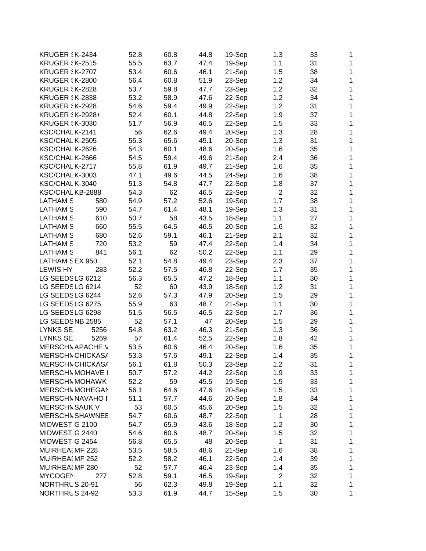| <b>KRUGER \K-2434</b>   |      | 52.8 | 60.8 | 44.8 | 19-Sep | 1.3            | 33 | 1            |
|-------------------------|------|------|------|------|--------|----------------|----|--------------|
| <b>KRUGER \$K-2515</b>  |      | 55.5 | 63.7 | 47.4 | 19-Sep | 1.1            | 31 | $\mathbf{1}$ |
| <b>KRUGER \$K-2707</b>  |      | 53.4 | 60.6 | 46.1 | 21-Sep | 1.5            | 38 | $\mathbf{1}$ |
| <b>KRUGER \$K-2800</b>  |      | 56.4 | 60.8 | 51.9 | 23-Sep | 1.2            | 34 | 1            |
| <b>KRUGER \$K-2828</b>  |      | 53.7 | 59.8 | 47.7 | 23-Sep | 1.2            | 32 | 1            |
| <b>KRUGER \$K-2838</b>  |      | 53.2 | 58.9 | 47.6 | 22-Sep | 1.2            | 34 | 1            |
| <b>KRUGER \$K-2928</b>  |      | 54.6 | 59.4 | 49.9 | 22-Sep | 1.2            | 31 | 1            |
| <b>KRUGER SK-2928+</b>  |      | 52.4 | 60.1 | 44.8 | 22-Sep | 1.9            | 37 | 1            |
| <b>KRUGER \$K-3030</b>  |      | 51.7 | 56.9 | 46.5 | 22-Sep | 1.5            | 33 | 1            |
| KSC/CHALK-2141          |      | 56   | 62.6 | 49.4 | 20-Sep | 1.3            | 28 | 1            |
| KSC/CHALK-2505          |      | 55.3 | 65.6 | 45.1 | 20-Sep | 1.3            | 31 | 1            |
| KSC/CHALK-2626          |      | 54.3 | 60.1 | 48.6 | 20-Sep | 1.6            | 35 | 1            |
| KSC/CHALK-2666          |      | 54.5 | 59.4 | 49.6 | 21-Sep | 2.4            | 36 | 1            |
| KSC/CHALK-2717          |      | 55.8 | 61.9 | 49.7 | 21-Sep | 1.6            | 35 | 1            |
| KSC/CHALK-3003          |      | 47.1 | 49.6 | 44.5 | 24-Sep | 1.6            | 38 | 1            |
| KSC/CHALK-3040          |      | 51.3 | 54.8 | 47.7 | 22-Sep | 1.8            | 37 | 1            |
| KSC/CHALKB-2888         |      | 54.3 | 62   | 46.5 | 22-Sep | $\overline{2}$ | 32 | 1            |
| <b>LATHAM S</b>         | 580  | 54.9 | 57.2 | 52.6 | 19-Sep | 1.7            | 38 | $\mathbf{1}$ |
| <b>LATHAM S</b>         | 590  | 54.7 | 61.4 | 48.1 | 19-Sep | 1.3            | 31 | 1            |
| <b>LATHAM S</b>         | 610  | 50.7 | 58   | 43.5 | 18-Sep | 1.1            | 27 | $\mathbf 1$  |
| <b>LATHAM S</b>         | 660  | 55.5 | 64.5 | 46.5 | 20-Sep | 1.6            | 32 | 1            |
| <b>LATHAM S</b>         | 680  | 52.6 | 59.1 | 46.1 | 21-Sep | 2.1            | 32 | 1            |
| <b>LATHAM S</b>         | 720  | 53.2 | 59   | 47.4 | 22-Sep | 1.4            | 34 | 1            |
| <b>LATHAM S</b>         | 841  | 56.1 | 62   | 50.2 | 22-Sep | 1.1            | 29 | 1            |
| LATHAM SEX 950          |      | 52.1 | 54.8 | 49.4 | 23-Sep | 2.3            | 37 | 1            |
| <b>LEWIS HY</b>         | 283  | 52.2 | 57.5 | 46.8 | 22-Sep | 1.7            | 35 | 1            |
| LG SEEDSLG 6212         |      | 56.3 | 65.5 | 47.2 | 18-Sep | 1.1            | 30 | 1            |
| LG SEEDSLG 6214         |      | 52   | 60   | 43.9 | 18-Sep | 1.2            | 31 | 1            |
| LG SEEDSLG 6244         |      | 52.6 | 57.3 | 47.9 | 20-Sep | 1.5            | 29 | 1            |
| LG SEEDSLG 6275         |      | 55.9 | 63   | 48.7 | 21-Sep | 1.1            | 30 | 1            |
| LG SEEDSLG 6298         |      | 51.5 | 56.5 | 46.5 | 22-Sep | 1.7            | 36 | 1            |
| LG SEEDSNB 2585         |      | 52   | 57.1 | 47   | 20-Sep | 1.5            | 29 | 1            |
| <b>LYNKS SE</b>         | 5256 | 54.8 | 63.2 | 46.3 | 21-Sep | 1.3            | 36 | 1            |
| <b>LYNKS SE</b>         | 5269 | 57   | 61.4 | 52.5 | 22-Sep | 1.8            | 42 | 1            |
| MERSCHN APACHE V        |      | 53.5 | 60.6 | 46.4 | 20-Sep | 1.6            | 35 | 1            |
| MERSCHN CHICKASA        |      | 53.3 | 57.6 | 49.1 | 22-Sep | 1.4            | 35 | 1            |
| MERSCHN CHICKASA        |      | 56.1 | 61.8 | 50.3 | 23-Sep | 1.2            | 31 | 1            |
| <b>MERSCHN MOHAVE I</b> |      | 50.7 | 57.2 | 44.2 | 22-Sep | 1.9            | 33 | 1            |
| <b>MERSCHN MOHAWK</b>   |      | 52.2 | 59   | 45.5 | 19-Sep | 1.5            | 33 | $\mathbf{1}$ |
| MERSCHMMOHEGAM          |      | 56.1 | 64.6 | 47.6 | 20-Sep | 1.5            | 33 | $\mathbf{1}$ |
| MERSCHN NAVAHO I        |      | 51.1 | 57.7 | 44.6 | 20-Sep | 1.8            | 34 | $\mathbf{1}$ |
| <b>MERSCHN SAUK V</b>   |      | 53   | 60.5 | 45.6 | 20-Sep | 1.5            | 32 | 1            |
| <b>MERSCHN SHAWNEE</b>  |      | 54.7 | 60.6 | 48.7 | 22-Sep | 1              | 28 | $\mathbf 1$  |
| MIDWEST G 2100          |      | 54.7 | 65.9 | 43.6 | 18-Sep | 1.2            | 30 | 1            |
| MIDWEST G 2440          |      | 54.6 | 60.6 | 48.7 | 20-Sep | 1.5            | 32 | 1            |
| MIDWEST G 2454          |      | 56.8 | 65.5 | 48   | 20-Sep | 1              | 31 | 1            |
| MUIRHEAI MF 228         |      | 53.5 | 58.5 | 48.6 | 21-Sep | 1.6            | 38 | 1            |
| MUIRHEAI MF 252         |      | 52.2 | 58.2 | 46.1 | 22-Sep | 1.4            | 39 | 1            |
| MUIRHEAI MF 280         |      | 52   | 57.7 | 46.4 | 23-Sep | 1.4            | 35 | $\mathbf{1}$ |
| <b>MYCOGEN</b>          | 277  | 52.8 | 59.1 | 46.5 | 19-Sep | $\overline{2}$ | 32 | $\mathbf{1}$ |
| NORTHRUS 20-91          |      | 56   | 62.3 | 49.8 | 19-Sep | 1.1            | 32 | 1            |
| NORTHRUS 24-92          |      | 53.3 | 61.9 | 44.7 | 15-Sep | 1.5            | 30 | $\mathbf{1}$ |
|                         |      |      |      |      |        |                |    |              |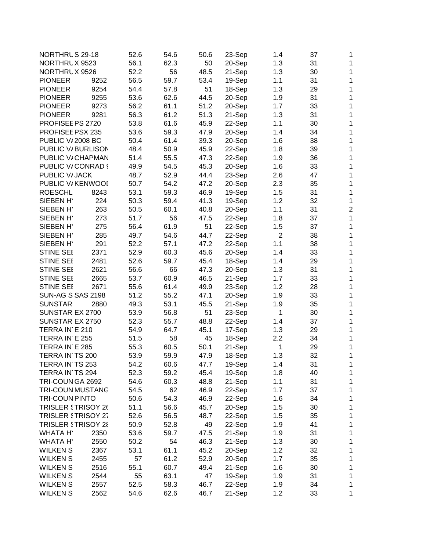| NORTHRUS 29-18           |      | 52.6 | 54.6 | 50.6 | 23-Sep | 1.4            | 37 | 1              |
|--------------------------|------|------|------|------|--------|----------------|----|----------------|
| NORTHRUX 9523            |      | 56.1 | 62.3 | 50   | 20-Sep | 1.3            | 31 | 1              |
| NORTHRUX 9526            |      | 52.2 | 56   | 48.5 | 21-Sep | 1.3            | 30 | $\mathbf{1}$   |
| PIONEER                  | 9252 | 56.5 | 59.7 | 53.4 | 19-Sep | 1.1            | 31 | 1              |
| PIONEER                  | 9254 | 54.4 | 57.8 | 51   | 18-Sep | 1.3            | 29 | 1              |
| PIONEER                  | 9255 | 53.6 | 62.6 | 44.5 | 20-Sep | 1.9            | 31 | 1              |
| <b>PIONEER</b>           | 9273 | 56.2 | 61.1 | 51.2 | 20-Sep | 1.7            | 33 | 1              |
| PIONEER I                | 9281 | 56.3 | 61.2 | 51.3 | 21-Sep | 1.3            | 31 | 1              |
| PROFISEE PS 2720         |      | 53.8 | 61.6 | 45.9 | 22-Sep | 1.1            | 30 | 1              |
| PROFISEE PSX 235         |      | 53.6 | 59.3 | 47.9 | 20-Sep | 1.4            | 34 | 1              |
| <b>PUBLIC V/2008 BC</b>  |      | 50.4 | 61.4 | 39.3 | 20-Sep | 1.6            | 38 | 1              |
| PUBLIC V/BURLISON        |      | 48.4 | 50.9 | 45.9 | 22-Sep | 1.8            | 39 | 1              |
| PUBLIC V/CHAPMAN         |      | 51.4 | 55.5 | 47.3 | 22-Sep | 1.9            | 36 | 1              |
| PUBLIC V/CONRAD {        |      | 49.9 | 54.5 | 45.3 | 20-Sep | 1.6            | 33 | 1              |
| PUBLIC V/JACK            |      | 48.7 | 52.9 | 44.4 | 23-Sep | 2.6            | 47 | 1              |
| PUBLIC V/KENWOOI         |      | 50.7 | 54.2 | 47.2 | 20-Sep | 2.3            | 35 | 1              |
| <b>ROESCHL</b>           | 8243 | 53.1 | 59.3 | 46.9 | 19-Sep | 1.5            | 31 | 1              |
| SIEBEN H'                | 224  | 50.3 | 59.4 | 41.3 | 19-Sep | 1.2            | 32 | $\mathbf 1$    |
| SIEBEN H'                | 263  | 50.5 | 60.1 | 40.8 | 20-Sep | 1.1            | 31 | $\overline{2}$ |
| SIEBEN H'                | 273  | 51.7 | 56   | 47.5 | 22-Sep | 1.8            | 37 | $\mathbf 1$    |
| SIEBEN H'                | 275  | 56.4 | 61.9 | 51   | 22-Sep | 1.5            | 37 | 1              |
| SIEBEN H'                | 285  | 49.7 | 54.6 | 44.7 | 22-Sep | $\overline{2}$ | 38 | 1              |
| SIEBEN H'                | 291  | 52.2 | 57.1 | 47.2 | 22-Sep | 1.1            | 38 | 1              |
| <b>STINE SEE</b>         | 2371 | 52.9 | 60.3 | 45.6 | 20-Sep | 1.4            | 33 | 1              |
| <b>STINE SEE</b>         | 2481 | 52.6 | 59.7 | 45.4 | 18-Sep | 1.4            | 29 | 1              |
| <b>STINE SEE</b>         | 2621 | 56.6 | 66   | 47.3 | 20-Sep | 1.3            | 31 | 1              |
| <b>STINE SEE</b>         | 2665 | 53.7 | 60.9 | 46.5 | 21-Sep | 1.7            | 33 | 1              |
| <b>STINE SEE</b>         | 2671 | 55.6 | 61.4 | 49.9 | 23-Sep | 1.2            | 28 | 1              |
| <b>SUN-AG S SAS 2198</b> |      | 51.2 | 55.2 | 47.1 | 20-Sep | 1.9            | 33 | 1              |
| <b>SUNSTAR</b>           | 2880 | 49.3 | 53.1 | 45.5 | 21-Sep | 1.9            | 35 | 1              |
| SUNSTAR EX 2700          |      | 53.9 | 56.8 | 51   | 23-Sep | 1              | 30 | 1              |
| SUNSTAR EX 2750          |      | 52.3 | 55.7 | 48.8 | 22-Sep | 1.4            | 37 | 1              |
| TERRA IN E 210           |      | 54.9 | 64.7 | 45.1 | 17-Sep | 1.3            | 29 | 1              |
| TERRA IN E 255           |      | 51.5 | 58   | 45   | 18-Sep | 2.2            | 34 | 1              |
| TERRA IN E 285           |      | 55.3 | 60.5 | 50.1 | 21-Sep | 1              | 29 | 1              |
| TERRA IN TS 200          |      | 53.9 | 59.9 | 47.9 | 18-Sep | 1.3            | 32 | 1              |
| TERRA IN TS 253          |      | 54.2 | 60.6 | 47.7 | 19-Sep | 1.4            | 31 | 1              |
| TERRA IN TS 294          |      | 52.3 | 59.2 | 45.4 | 19-Sep | 1.8            | 40 | 1              |
| TRI-COUN GA 2692         |      | 54.6 | 60.3 | 48.8 | 21-Sep | 1.1            | 31 | 1              |
| <b>TRI-COUN MUSTANG</b>  |      | 54.5 | 62   | 46.9 | 22-Sep | 1.7            | 37 | 1              |
| TRI-COUN PINTO           |      | 50.6 | 54.3 | 46.9 | 22-Sep | 1.6            | 34 | 1              |
| TRISLER STRISOY 26       |      | 51.1 | 56.6 | 45.7 |        | 1.5            | 30 |                |
|                          |      |      |      |      | 20-Sep |                |    | 1              |
| TRISLER STRISOY 27       |      | 52.6 | 56.5 | 48.7 | 22-Sep | 1.5            | 35 | $\mathbf 1$    |
| TRISLER STRISOY 28       |      | 50.9 | 52.8 | 49   | 22-Sep | 1.9            | 41 | 1              |
| <b>WHATA HY</b>          | 2350 | 53.6 | 59.7 | 47.5 | 21-Sep | 1.9            | 31 | 1              |
| <b>WHATA H'</b>          | 2550 | 50.2 | 54   | 46.3 | 21-Sep | 1.3            | 30 | 1              |
| <b>WILKENS</b>           | 2367 | 53.1 | 61.1 | 45.2 | 20-Sep | 1.2            | 32 | 1              |
| <b>WILKEN S</b>          | 2455 | 57   | 61.2 | 52.9 | 20-Sep | 1.7            | 35 | 1              |
| <b>WILKEN S</b>          | 2516 | 55.1 | 60.7 | 49.4 | 21-Sep | 1.6            | 30 | $\mathbf{1}$   |
| <b>WILKENS</b>           | 2544 | 55   | 63.1 | 47   | 19-Sep | 1.9            | 31 | $\mathbf{1}$   |
| <b>WILKENS</b>           | 2557 | 52.5 | 58.3 | 46.7 | 22-Sep | 1.9            | 34 | 1              |
| <b>WILKENS</b>           | 2562 | 54.6 | 62.6 | 46.7 | 21-Sep | 1.2            | 33 | $\mathbf{1}$   |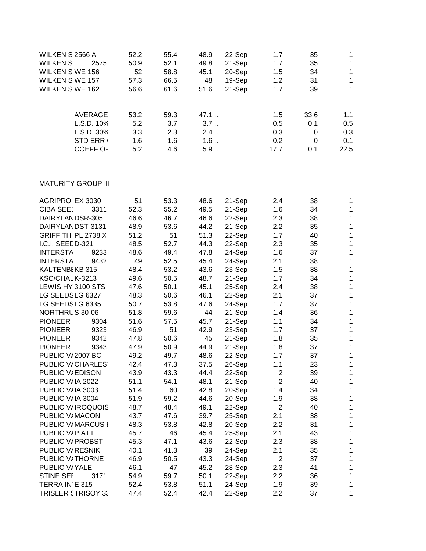| <b>WILKEN S 2566 A</b><br><b>WILKEN S</b><br><b>WILKEN S WE 156</b><br><b>WILKEN S WE 157</b><br><b>WILKEN S WE 162</b> | 2575                         | 52.2<br>50.9<br>52<br>57.3<br>56.6 | 55.4<br>52.1<br>58.8<br>66.5<br>61.6 | 48.9<br>49.8<br>45.1<br>48<br>51.6 | 22-Sep<br>21-Sep<br>20-Sep<br>19-Sep<br>21-Sep | 1.7<br>1.7<br>1.5<br>1.2<br>1.7 | 35<br>35<br>34<br>31<br>39 | 1<br>$\mathbf{1}$<br>$\mathbf{1}$<br>$\mathbf{1}$<br>$\mathbf{1}$ |
|-------------------------------------------------------------------------------------------------------------------------|------------------------------|------------------------------------|--------------------------------------|------------------------------------|------------------------------------------------|---------------------------------|----------------------------|-------------------------------------------------------------------|
|                                                                                                                         | <b>AVERAGE</b><br>L.S.D. 10% | 53.2<br>5.2                        | 59.3<br>3.7                          | 47.1<br>3.7                        |                                                | 1.5<br>0.5                      | 33.6<br>0.1                | 1.1<br>0.5                                                        |
|                                                                                                                         | L.S.D. 30%                   | 3.3                                | 2.3                                  | $2.4$                              |                                                | 0.3                             | 0                          | 0.3                                                               |
|                                                                                                                         | <b>STD ERR (</b>             | 1.6                                | 1.6                                  | 1.6                                |                                                | 0.2                             | 0                          | 0.1                                                               |
|                                                                                                                         | <b>COEFF OF</b>              | 5.2                                | 4.6                                  | $5.9$                              |                                                | 17.7                            | 0.1                        | 22.5                                                              |
| <b>MATURITY GROUP III</b>                                                                                               |                              |                                    |                                      |                                    |                                                |                                 |                            |                                                                   |
| <b>AGRIPRO EX 3030</b>                                                                                                  |                              | 51                                 | 53.3                                 | 48.6                               | 21-Sep                                         | 2.4                             | 38                         | $\mathbf{1}$                                                      |
| <b>CIBA SEEI</b>                                                                                                        | 3311                         | 52.3                               | 55.2                                 | 49.5                               | 21-Sep                                         | 1.6                             | 34                         | $\mathbf{1}$                                                      |
| DAIRYLANDSR-305                                                                                                         |                              | 46.6                               | 46.7                                 | 46.6                               | 22-Sep                                         | 2.3                             | 38                         | 1                                                                 |
| DAIRYLANDST-3131                                                                                                        |                              | 48.9                               | 53.6                                 | 44.2                               | 21-Sep                                         | 2.2                             | 35                         | $\mathbf{1}$                                                      |
| GRIFFITH PL 2738 X                                                                                                      |                              | 51.2                               | 51                                   | 51.3                               | 22-Sep                                         | 1.7                             | 40                         | $\mathbf{1}$                                                      |
| I.C.I. SEEDD-321                                                                                                        |                              | 48.5                               | 52.7                                 | 44.3                               | 22-Sep                                         | 2.3                             | 35                         | $\mathbf{1}$                                                      |
| <b>INTERSTA</b>                                                                                                         | 9233                         | 48.6                               | 49.4                                 | 47.8                               | 24-Sep                                         | 1.6                             | 37                         | $\mathbf{1}$                                                      |
| <b>INTERSTA</b>                                                                                                         | 9432                         | 49                                 | 52.5                                 | 45.4                               | 24-Sep                                         | 2.1                             | 38                         | $\mathbf 1$                                                       |
| KALTENBEKB 315                                                                                                          |                              | 48.4                               | 53.2                                 | 43.6                               | 23-Sep                                         | 1.5                             | 38                         | $\mathbf{1}$                                                      |
| KSC/CHALK-3213                                                                                                          |                              | 49.6                               | 50.5                                 | 48.7                               | 21-Sep                                         | 1.7                             | 34                         | $\overline{1}$                                                    |
| LEWIS HY 3100 STS                                                                                                       |                              | 47.6                               | 50.1                                 | 45.1                               | 25-Sep                                         | 2.4                             | 38                         | $\mathbf 1$                                                       |
| LG SEEDSLG 6327                                                                                                         |                              | 48.3                               | 50.6                                 | 46.1                               | 22-Sep                                         | 2.1                             | 37                         | $\overline{1}$                                                    |
| LG SEEDSLG 6335                                                                                                         |                              | 50.7                               | 53.8                                 | 47.6                               | 24-Sep                                         | 1.7                             | 37                         | $\mathbf{1}$                                                      |
| NORTHRUS 30-06                                                                                                          |                              | 51.8                               | 59.6                                 | 44                                 | 21-Sep                                         | 1.4                             | 36                         | $\mathbf{1}$                                                      |
| PIONEER I                                                                                                               | 9304                         | 51.6                               | 57.5                                 | 45.7                               | 21-Sep                                         | 1.1                             | 34                         | $\mathbf{1}$                                                      |
| <b>PIONEER</b>                                                                                                          | 9323                         | 46.9                               | 51                                   | 42.9                               | 23-Sep                                         | 1.7                             | 37                         | 1                                                                 |

PIONEER 9342 47.8 50.6 45 21-Sep 1.8 35

PIONEER 9343 47.9 50.9 44.9 21-Sep 1.8 37

PUBLIC V/2007 BC 49.2 49.7 48.6 22-Sep 1.7 37

PUBLIC V/CHARLES 42.4 47.3 37.5 26-Sep 1.1 23

PUBLIC V/IA 3003 51.4 60 42.8 20-Sep 1.4 34

PUBLIC V/IA 3004 51.9 59.2 44.6 20-Sep 1.9 38

PUBLIC V/MACON 43.7 47.6 39.7 25-Sep 2.1 38

PUBLIC V/MARCUS [ 48.3 53.8 42.8 20-Sep 2.2 31

PUBLIC V/PIATT 45.7 46 45.4 25-Sep 2.1 43

PUBLIC V/PROBST 45.3 47.1 43.6 22-Sep 2.3 38

PUBLIC V/RESNIK 40.1 41.3 39 24-Sep 2.1 35

PUBLIC V/YALE 46.1 47 45.2 28-Sep 2.3 41

STINE SEE 3171 54.9 59.7 50.1 22-Sep 2.2 36

TERRA INTE 315 52.4 53.8 51.1 24-Sep 1.9 39

TRISLER STRISOY 33 47.4 52.4 42.4 22-Sep 2.2 37

PUBLIC V/EDISON 43.9 43.3 44.4 22-Sep

PUBLIC V/IA 2022 51.1 54.1 48.1 21-Sep

PUBLIC V/IROQUOIS 48.7 48.4 49.1 22-Sep

PUBLIC V/THORNE 46.9 50.5 43.3 24-Sep

1

1

1

1

1

1

1

1

1

1

1

1

1

1

1

1

1

1

1

2 39

2 40

2 40

2 37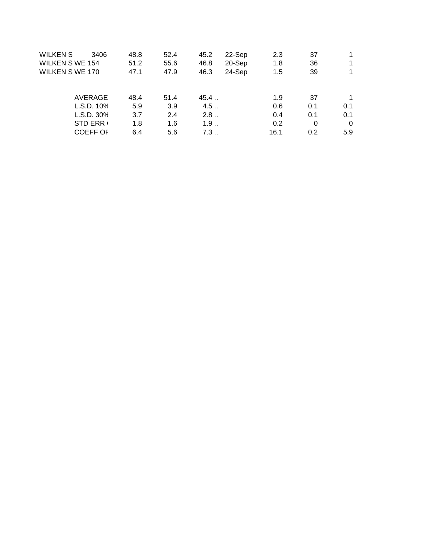| WILKEN S<br><b>WILKEN S WE 154</b><br><b>WILKEN S WE 170</b> | 3406                                | 48.8<br>51.2<br>47.1 | 52.4<br>55.6<br>47.9 | 45.2<br>46.8<br>46.3 | 22-Sep<br>20-Sep<br>24-Sep | 2.3<br>1.8<br>1.5 | 37<br>36<br>39 |            |
|--------------------------------------------------------------|-------------------------------------|----------------------|----------------------|----------------------|----------------------------|-------------------|----------------|------------|
|                                                              | AVERAGE                             | 48.4                 | 51.4                 | 45.4                 |                            | 1.9               | 37             |            |
|                                                              | L.S.D. 10%<br>L.S.D. 30%            | 5.9<br>3.7           | 3.9<br>2.4           | 4.5<br>2.8           |                            | 0.6<br>0.4        | 0.1<br>0.1     | 0.1<br>0.1 |
|                                                              | <b>STD ERR (</b><br><b>COEFF OF</b> | 1.8<br>6.4           | 1.6<br>5.6           | 1.9<br>7.3           |                            | 0.2<br>16.1       | 0<br>0.2       | 0<br>5.9   |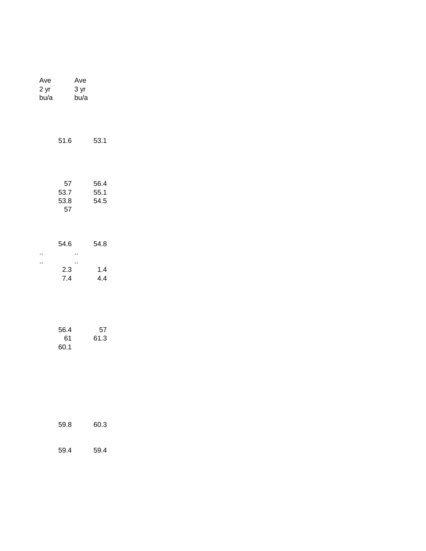| Ave<br>2 yr<br>bu/a |                          | Ave<br>3 yr<br>bu/a |                      |  |
|---------------------|--------------------------|---------------------|----------------------|--|
|                     | 51.6                     |                     | 53.1                 |  |
|                     | 57<br>53.7<br>53.8<br>57 |                     | 56.4<br>55.1<br>54.5 |  |
| .,                  | 54.6                     | .,                  | 54.8                 |  |
| .,                  | 2.3<br>7.4               | .,                  | 1.4<br>4.4           |  |
|                     | 56.4<br>61<br>60.1       |                     | 57<br>61.3           |  |
|                     | 59.8                     |                     | 60.3                 |  |
|                     | 59.4                     |                     | 59.4                 |  |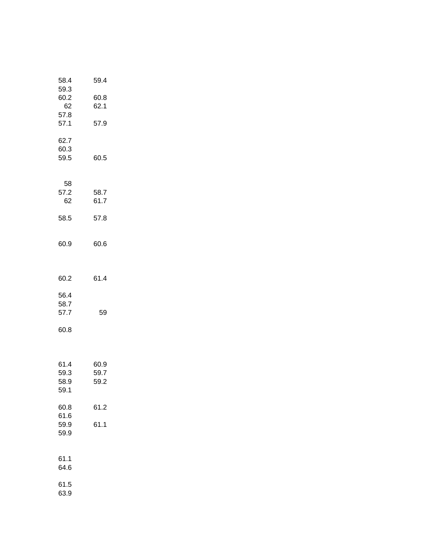| 58.4<br>59.3                 | 59.4                 |  |
|------------------------------|----------------------|--|
| 60.2<br>62                   | 60.8<br>62.1         |  |
| 57.8<br>57.1                 | 57.9                 |  |
| 62.7<br>60.3<br>59.5         | 60.5                 |  |
| 58<br>57.2<br>62             | 58.7<br>61.7         |  |
| 58.5                         | 57.8                 |  |
| 60.9                         | 60.6                 |  |
| 60.2                         | 61.4                 |  |
| 56.4<br>58.7<br>57.7         | 59                   |  |
| 60.8                         |                      |  |
| 61.4<br>59.3<br>58.9<br>59.1 | 60.9<br>59.7<br>59.2 |  |
| 60.8<br>61.6                 | 61.2                 |  |
| 59.9<br>59.9                 | 61.1                 |  |
| 61.1<br>64.6                 |                      |  |
| 61.5<br>63.9                 |                      |  |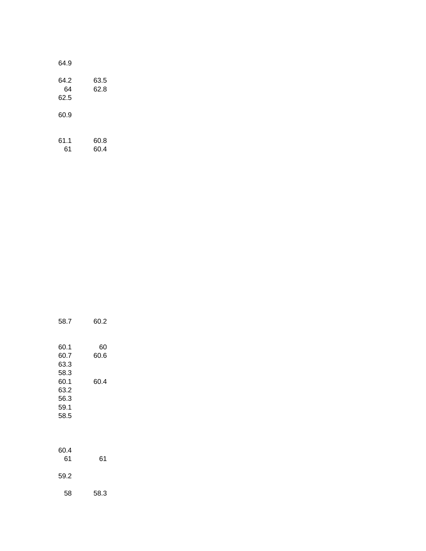| 64.9               |              |  |
|--------------------|--------------|--|
| 64.2<br>64<br>62.5 | 63.5<br>62.8 |  |
| 60.9               |              |  |
| 61.1<br>61         | 60.8<br>60.4 |  |

| 58.7                 | 60.2       |
|----------------------|------------|
| 60.1<br>60.7<br>63.3 | 60<br>60.6 |
| 58.3<br>60.1<br>63.2 | 60.4       |
| 56.3<br>59.1<br>58.5 |            |
|                      |            |
| 60.4<br>61           | 61         |

59.2

58 58.3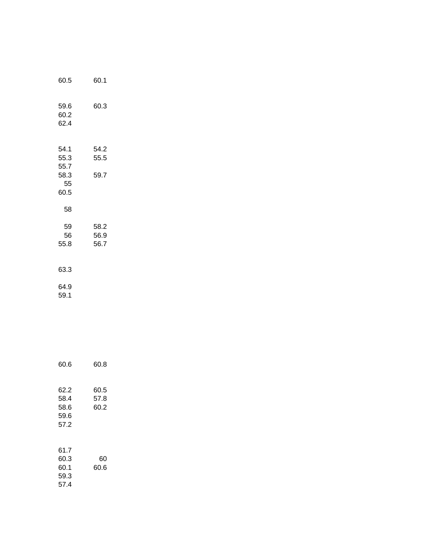| 60.5                                       | 60.1                 |
|--------------------------------------------|----------------------|
| 59.6<br>60.2<br>62.4                       | 60.3                 |
| 54.1<br>55.3<br>55.7<br>58.3<br>55<br>60.5 | 54.2<br>55.5<br>59.7 |
| 58                                         |                      |
| 59<br>56<br>55.8                           | 58.2<br>56.9<br>56.7 |
| 63.3                                       |                      |
| 64.9<br>59.1                               |                      |

| 60.6                                 | 60.8                 |  |
|--------------------------------------|----------------------|--|
| 62.2<br>58.4<br>58.6<br>59.6<br>57.2 | 60.5<br>57.8<br>60.2 |  |
| 61.7<br>60.3<br>60.1<br>59.3<br>57.4 | 60<br>60.6           |  |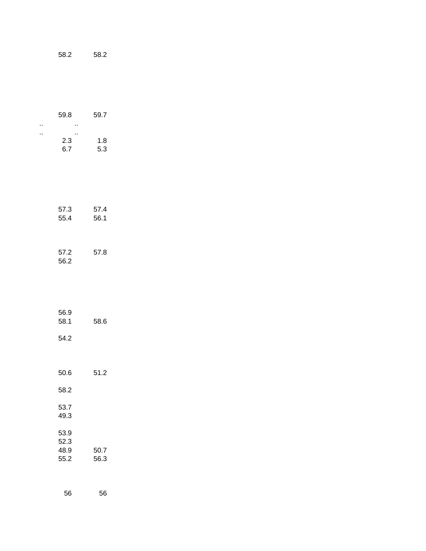| 58.2 |
|------|
|      |
|      |

|          | 59.8                         | 59.7         |  |
|----------|------------------------------|--------------|--|
| .,<br>., | .,<br>.,<br>2.3<br>6.7       | 1.8<br>5.3   |  |
|          | 57.3<br>55.4                 | 57.4<br>56.1 |  |
|          | 57.2<br>56.2                 | 57.8         |  |
|          | 56.9<br>58.1                 | 58.6         |  |
|          | 54.2                         |              |  |
|          | 50.6<br>58.2                 | 51.2         |  |
|          | 53.7<br>49.3                 |              |  |
|          | 53.9<br>52.3<br>48.9<br>55.2 | 50.7<br>56.3 |  |
|          | 56                           | 56           |  |